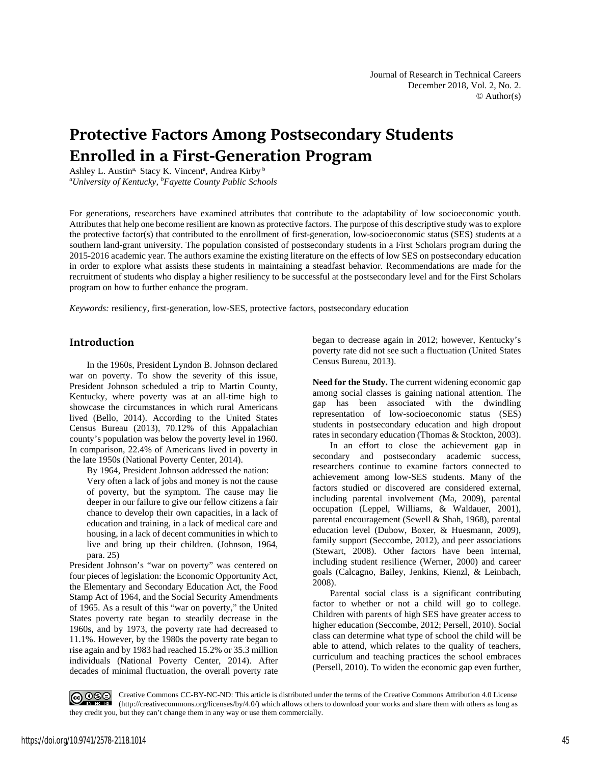# **Protective Factors Among Postsecondary Students Enrolled in a First-Generation Program**

Ashley L. Austin<sup>a,</sup> Stacy K. Vincent<sup>a</sup>, Andrea Kirby b *a University of Kentucky, b Fayette County Public Schools*

For generations, researchers have examined attributes that contribute to the adaptability of low socioeconomic youth. Attributes that help one become resilient are known as protective factors. The purpose of this descriptive study was to explore the protective factor(s) that contributed to the enrollment of first-generation, low-socioeconomic status (SES) students at a southern land-grant university. The population consisted of postsecondary students in a First Scholars program during the 2015-2016 academic year. The authors examine the existing literature on the effects of low SES on postsecondary education in order to explore what assists these students in maintaining a steadfast behavior. Recommendations are made for the recruitment of students who display a higher resiliency to be successful at the postsecondary level and for the First Scholars program on how to further enhance the program.

*Keywords:* resiliency, first-generation, low-SES, protective factors, postsecondary education

### **Introduction**

In the 1960s, President Lyndon B. Johnson declared war on poverty. To show the severity of this issue, President Johnson scheduled a trip to Martin County, Kentucky, where poverty was at an all-time high to showcase the circumstances in which rural Americans lived (Bello, 2014). According to the United States Census Bureau (2013), 70.12% of this Appalachian county's population was below the poverty level in 1960. In comparison, 22.4% of Americans lived in poverty in the late 1950s (National Poverty Center, 2014).

By 1964, President Johnson addressed the nation: Very often a lack of jobs and money is not the cause of poverty, but the symptom. The cause may lie deeper in our failure to give our fellow citizens a fair chance to develop their own capacities, in a lack of education and training, in a lack of medical care and housing, in a lack of decent communities in which to live and bring up their children. (Johnson, 1964, para. 25)

President Johnson's "war on poverty" was centered on four pieces of legislation: the Economic Opportunity Act, the Elementary and Secondary Education Act, the Food Stamp Act of 1964, and the Social Security Amendments of 1965. As a result of this "war on poverty," the United States poverty rate began to steadily decrease in the 1960s, and by 1973, the poverty rate had decreased to 11.1%. However, by the 1980s the poverty rate began to rise again and by 1983 had reached 15.2% or 35.3 million individuals (National Poverty Center, 2014). After decades of minimal fluctuation, the overall poverty rate began to decrease again in 2012; however, Kentucky's poverty rate did not see such a fluctuation (United States Census Bureau, 2013).

**Need for the Study.** The current widening economic gap among social classes is gaining national attention. The gap has been associated with the dwindling representation of low-socioeconomic status (SES) students in postsecondary education and high dropout rates in secondary education (Thomas & Stockton, 2003).

In an effort to close the achievement gap in secondary and postsecondary academic success, researchers continue to examine factors connected to achievement among low-SES students. Many of the factors studied or discovered are considered external, including parental involvement (Ma, 2009), parental occupation (Leppel, Williams, & Waldauer, 2001), parental encouragement (Sewell & Shah, 1968), parental education level (Dubow, Boxer, & Huesmann, 2009), family support (Seccombe, 2012), and peer associations (Stewart, 2008). Other factors have been internal, including student resilience (Werner, 2000) and career goals (Calcagno, Bailey, Jenkins, Kienzl, & Leinbach, 2008).

Parental social class is a significant contributing factor to whether or not a child will go to college. Children with parents of high SES have greater access to higher education (Seccombe, 2012; Persell, 2010). Social class can determine what type of school the child will be able to attend, which relates to the quality of teachers, curriculum and teaching practices the school embraces (Persell, 2010). To widen the economic gap even further,

Creative Commons CC-BY-NC-ND: This article is distributed under the terms of the Creative Commons Attribution 4.0 License (http://creativecommons.org/licenses/by/4.0/) which allows others to download your works and share them with others as long as they credit you, but they can't change them in any way or use them commercially.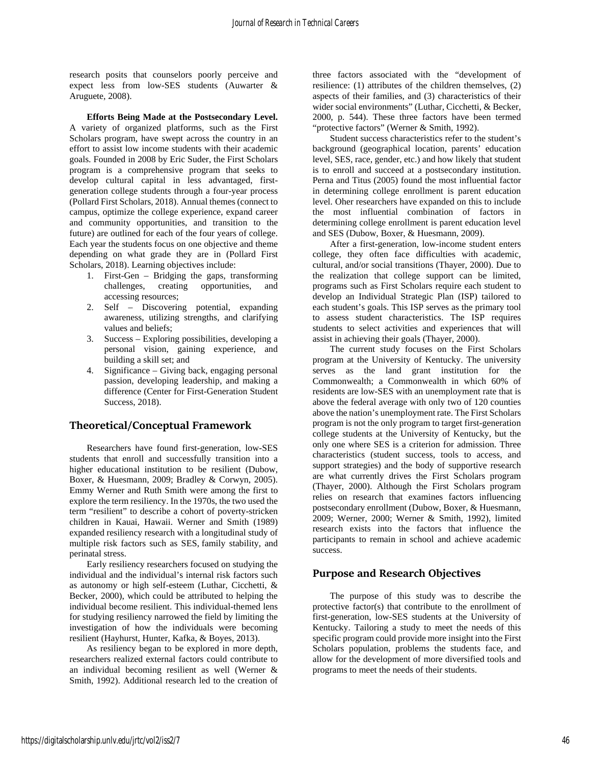research posits that counselors poorly perceive and expect less from low-SES students (Auwarter & Aruguete, 2008).

**Efforts Being Made at the Postsecondary Level.**  A variety of organized platforms, such as the First Scholars program, have swept across the country in an effort to assist low income students with their academic goals. Founded in 2008 by Eric Suder, the First Scholars program is a comprehensive program that seeks to develop cultural capital in less advantaged, firstgeneration college students through a four-year process (Pollard First Scholars, 2018). Annual themes (connect to campus, optimize the college experience, expand career and community opportunities, and transition to the future) are outlined for each of the four years of college. Each year the students focus on one objective and theme depending on what grade they are in (Pollard First Scholars, 2018). Learning objectives include:

- 1. First-Gen Bridging the gaps, transforming challenges, creating opportunities, and accessing resources;
- 2. Self Discovering potential, expanding awareness, utilizing strengths, and clarifying values and beliefs;
- 3. Success Exploring possibilities, developing a personal vision, gaining experience, and building a skill set; and
- 4. Significance Giving back, engaging personal passion, developing leadership, and making a difference (Center for First-Generation Student Success, 2018).

# **Theoretical/Conceptual Framework**

Researchers have found first-generation, low-SES students that enroll and successfully transition into a higher educational institution to be resilient (Dubow, Boxer, & Huesmann, 2009; Bradley & Corwyn, 2005). Emmy Werner and Ruth Smith were among the first to explore the term resiliency. In the 1970s, the two used the term "resilient" to describe a cohort of poverty-stricken children in Kauai, Hawaii. Werner and Smith (1989) expanded resiliency research with a longitudinal study of multiple risk factors such as SES, family stability, and perinatal stress.

Early resiliency researchers focused on studying the individual and the individual's internal risk factors such as autonomy or high self-esteem (Luthar, Cicchetti, & Becker, 2000), which could be attributed to helping the individual become resilient. This individual-themed lens for studying resiliency narrowed the field by limiting the investigation of how the individuals were becoming resilient (Hayhurst, Hunter, Kafka, & Boyes, 2013).

As resiliency began to be explored in more depth, researchers realized external factors could contribute to an individual becoming resilient as well (Werner & Smith, 1992). Additional research led to the creation of

three factors associated with the "development of resilience: (1) attributes of the children themselves, (2) aspects of their families, and (3) characteristics of their wider social environments" (Luthar, Cicchetti, & Becker, 2000, p. 544). These three factors have been termed "protective factors" (Werner & Smith, 1992).

Student success characteristics refer to the student's background (geographical location, parents' education level, SES, race, gender, etc.) and how likely that student is to enroll and succeed at a postsecondary institution. Perna and Titus (2005) found the most influential factor in determining college enrollment is parent education level. Oher researchers have expanded on this to include the most influential combination of factors in determining college enrollment is parent education level and SES (Dubow, Boxer, & Huesmann, 2009).

After a first-generation, low-income student enters college, they often face difficulties with academic, cultural, and/or social transitions (Thayer, 2000). Due to the realization that college support can be limited, programs such as First Scholars require each student to develop an Individual Strategic Plan (ISP) tailored to each student's goals. This ISP serves as the primary tool to assess student characteristics. The ISP requires students to select activities and experiences that will assist in achieving their goals (Thayer, 2000).

The current study focuses on the First Scholars program at the University of Kentucky. The university serves as the land grant institution for the Commonwealth; a Commonwealth in which 60% of residents are low-SES with an unemployment rate that is above the federal average with only two of 120 counties above the nation's unemployment rate. The First Scholars program is not the only program to target first-generation college students at the University of Kentucky, but the only one where SES is a criterion for admission. Three characteristics (student success, tools to access, and support strategies) and the body of supportive research are what currently drives the First Scholars program (Thayer, 2000). Although the First Scholars program relies on research that examines factors influencing postsecondary enrollment (Dubow, Boxer, & Huesmann, 2009; Werner, 2000; Werner & Smith, 1992), limited research exists into the factors that influence the participants to remain in school and achieve academic success.

# **Purpose and Research Objectives**

The purpose of this study was to describe the protective factor(s) that contribute to the enrollment of first-generation, low-SES students at the University of Kentucky. Tailoring a study to meet the needs of this specific program could provide more insight into the First Scholars population, problems the students face, and allow for the development of more diversified tools and programs to meet the needs of their students.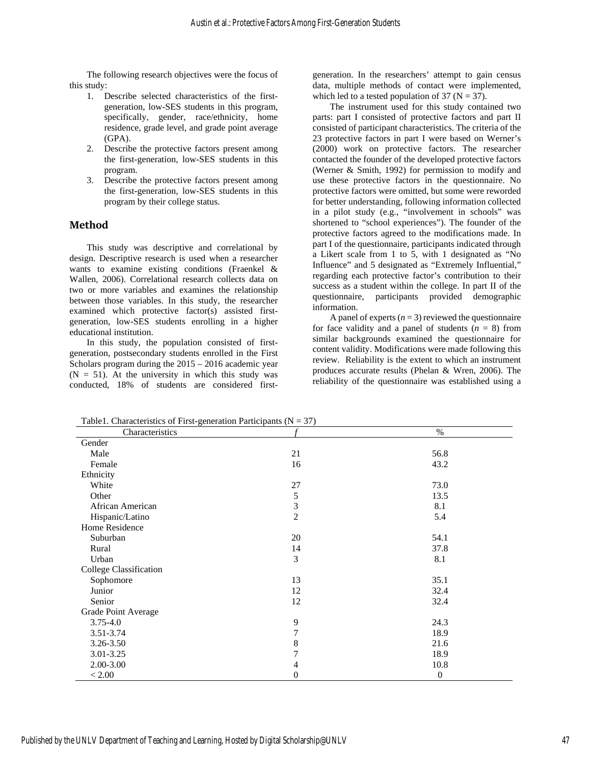The following research objectives were the focus of this study:

- 1. Describe selected characteristics of the firstgeneration, low-SES students in this program, specifically, gender, race/ethnicity, home residence, grade level, and grade point average (GPA).
- 2. Describe the protective factors present among the first-generation, low-SES students in this program.
- 3. Describe the protective factors present among the first-generation, low-SES students in this program by their college status.

#### **Method**

This study was descriptive and correlational by design. Descriptive research is used when a researcher wants to examine existing conditions (Fraenkel & Wallen, 2006). Correlational research collects data on two or more variables and examines the relationship between those variables. In this study, the researcher examined which protective factor(s) assisted firstgeneration, low-SES students enrolling in a higher educational institution.

In this study, the population consisted of firstgeneration, postsecondary students enrolled in the First Scholars program during the 2015 – 2016 academic year  $(N = 51)$ . At the university in which this study was conducted, 18% of students are considered firstgeneration. In the researchers' attempt to gain census data, multiple methods of contact were implemented, which led to a tested population of 37 ( $N = 37$ ).

The instrument used for this study contained two parts: part I consisted of protective factors and part II consisted of participant characteristics. The criteria of the 23 protective factors in part I were based on Werner's (2000) work on protective factors. The researcher contacted the founder of the developed protective factors (Werner & Smith, 1992) for permission to modify and use these protective factors in the questionnaire. No protective factors were omitted, but some were reworded for better understanding, following information collected in a pilot study (e.g., "involvement in schools" was shortened to "school experiences"). The founder of the protective factors agreed to the modifications made. In part I of the questionnaire, participants indicated through a Likert scale from 1 to 5, with 1 designated as "No Influence" and 5 designated as "Extremely Influential," regarding each protective factor's contribution to their success as a student within the college. In part II of the questionnaire, participants provided demographic information.

A panel of experts  $(n = 3)$  reviewed the questionnaire for face validity and a panel of students  $(n = 8)$  from similar backgrounds examined the questionnaire for content validity. Modifications were made following this review. Reliability is the extent to which an instrument produces accurate results (Phelan & Wren, 2006). The reliability of the questionnaire was established using a

 $Table 1.$  Characteristics of First-generation Participants  $(N - 37)$ 

| Table 1. Characteristics of Phst-generation Family pains $(Y - 3)$<br>Characteristics |                | $\%$             |
|---------------------------------------------------------------------------------------|----------------|------------------|
| Gender                                                                                |                |                  |
| Male                                                                                  | 21             | 56.8             |
| Female                                                                                | 16             | 43.2             |
| Ethnicity                                                                             |                |                  |
| White                                                                                 | $27\,$         | 73.0             |
| Other                                                                                 | 5              | 13.5             |
| African American                                                                      | 3              | 8.1              |
| Hispanic/Latino                                                                       | $\overline{c}$ | 5.4              |
| Home Residence                                                                        |                |                  |
| Suburban                                                                              | 20             | 54.1             |
| Rural                                                                                 | 14             | 37.8             |
| Urban                                                                                 | 3              | 8.1              |
| College Classification                                                                |                |                  |
| Sophomore                                                                             | 13             | 35.1             |
| Junior                                                                                | 12             | 32.4             |
| Senior                                                                                | 12             | 32.4             |
| Grade Point Average                                                                   |                |                  |
| $3.75 - 4.0$                                                                          | 9              | 24.3             |
| $3.51 - 3.74$                                                                         | 7              | 18.9             |
| 3.26-3.50                                                                             | 8              | 21.6             |
| 3.01-3.25                                                                             | 7              | 18.9             |
| 2.00-3.00                                                                             | 4              | 10.8             |
| < 2.00                                                                                | 0              | $\boldsymbol{0}$ |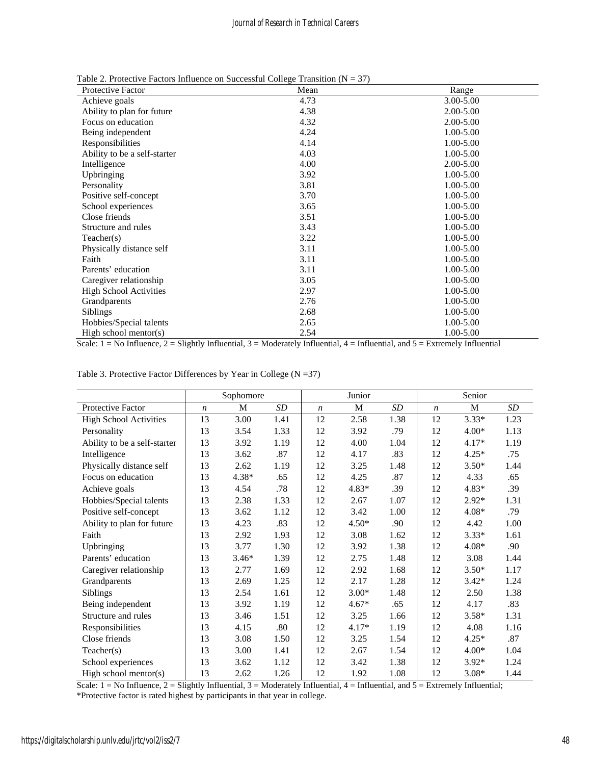Table 2. Protective Factors Influence on Successful College Transition  $(N = 37)$ 

| <b>Protective Factor</b>      | Mean | Range         |
|-------------------------------|------|---------------|
| Achieve goals                 | 4.73 | 3.00-5.00     |
| Ability to plan for future    | 4.38 | $2.00 - 5.00$ |
| Focus on education            | 4.32 | $2.00 - 5.00$ |
| Being independent             | 4.24 | 1.00-5.00     |
| Responsibilities              | 4.14 | 1.00-5.00     |
| Ability to be a self-starter  | 4.03 | 1.00-5.00     |
| Intelligence                  | 4.00 | $2.00 - 5.00$ |
| Upbringing                    | 3.92 | 1.00-5.00     |
| Personality                   | 3.81 | 1.00-5.00     |
| Positive self-concept         | 3.70 | 1.00-5.00     |
| School experiences            | 3.65 | 1.00-5.00     |
| Close friends                 | 3.51 | 1.00-5.00     |
| Structure and rules           | 3.43 | 1.00-5.00     |
| Teacher(s)                    | 3.22 | 1.00-5.00     |
| Physically distance self      | 3.11 | 1.00-5.00     |
| Faith                         | 3.11 | 1.00-5.00     |
| Parents' education            | 3.11 | 1.00-5.00     |
| Caregiver relationship        | 3.05 | 1.00-5.00     |
| <b>High School Activities</b> | 2.97 | 1.00-5.00     |
| Grandparents                  | 2.76 | 1.00-5.00     |
| <b>Siblings</b>               | 2.68 | 1.00-5.00     |
| Hobbies/Special talents       | 2.65 | 1.00-5.00     |
| High school mentor( $s$ )     | 2.54 | 1.00-5.00     |

Scale:  $1 = No$  Influence,  $2 = S$  Slightly Influential,  $3 =$  Moderately Influential,  $4 =$  Influential, and  $5 =$  Extremely Influential

| Table 3. Protective Factor Differences by Year in College $(N = 37)$ |  |  |  |  |  |  |  |  |
|----------------------------------------------------------------------|--|--|--|--|--|--|--|--|
|----------------------------------------------------------------------|--|--|--|--|--|--|--|--|

|                               | Sophomore        |         |      | Junior           |         |      | Senior           |         |      |
|-------------------------------|------------------|---------|------|------------------|---------|------|------------------|---------|------|
| Protective Factor             | $\boldsymbol{n}$ | M       | SD   | $\boldsymbol{n}$ | M       | SD   | $\boldsymbol{n}$ | M       | SD   |
| <b>High School Activities</b> | 13               | 3.00    | 1.41 | 12               | 2.58    | 1.38 | 12               | $3.33*$ | 1.23 |
| Personality                   | 13               | 3.54    | 1.33 | 12               | 3.92    | .79  | 12               | $4.00*$ | 1.13 |
| Ability to be a self-starter  | 13               | 3.92    | 1.19 | 12               | 4.00    | 1.04 | 12               | 4.17*   | 1.19 |
| Intelligence                  | 13               | 3.62    | .87  | 12               | 4.17    | .83  | 12               | $4.25*$ | .75  |
| Physically distance self      | 13               | 2.62    | 1.19 | 12               | 3.25    | 1.48 | 12               | $3.50*$ | 1.44 |
| Focus on education            | 13               | 4.38*   | .65  | 12               | 4.25    | .87  | 12               | 4.33    | .65  |
| Achieve goals                 | 13               | 4.54    | .78  | 12               | 4.83*   | .39  | 12               | $4.83*$ | .39  |
| Hobbies/Special talents       | 13               | 2.38    | 1.33 | 12               | 2.67    | 1.07 | 12               | $2.92*$ | 1.31 |
| Positive self-concept         | 13               | 3.62    | 1.12 | 12               | 3.42    | 1.00 | 12               | $4.08*$ | .79  |
| Ability to plan for future    | 13               | 4.23    | .83  | 12               | $4.50*$ | .90  | 12               | 4.42    | 1.00 |
| Faith                         | 13               | 2.92    | 1.93 | 12               | 3.08    | 1.62 | 12               | $3.33*$ | 1.61 |
| Upbringing                    | 13               | 3.77    | 1.30 | 12               | 3.92    | 1.38 | 12               | $4.08*$ | .90  |
| Parents' education            | 13               | $3.46*$ | 1.39 | 12               | 2.75    | 1.48 | 12               | 3.08    | 1.44 |
| Caregiver relationship        | 13               | 2.77    | 1.69 | 12               | 2.92    | 1.68 | 12               | $3.50*$ | 1.17 |
| Grandparents                  | 13               | 2.69    | 1.25 | 12               | 2.17    | 1.28 | 12               | $3.42*$ | 1.24 |
| <b>Siblings</b>               | 13               | 2.54    | 1.61 | 12               | $3.00*$ | 1.48 | 12               | 2.50    | 1.38 |
| Being independent             | 13               | 3.92    | 1.19 | 12               | $4.67*$ | .65  | 12               | 4.17    | .83  |
| Structure and rules           | 13               | 3.46    | 1.51 | 12               | 3.25    | 1.66 | 12               | $3.58*$ | 1.31 |
| Responsibilities              | 13               | 4.15    | .80  | 12               | $4.17*$ | 1.19 | 12               | 4.08    | 1.16 |
| Close friends                 | 13               | 3.08    | 1.50 | 12               | 3.25    | 1.54 | 12               | $4.25*$ | .87  |
| Teacher(s)                    | 13               | 3.00    | 1.41 | 12               | 2.67    | 1.54 | 12               | $4.00*$ | 1.04 |
| School experiences            | 13               | 3.62    | 1.12 | 12               | 3.42    | 1.38 | 12               | $3.92*$ | 1.24 |
| High school mentor(s)         | 13               | 2.62    | 1.26 | 12               | 1.92    | 1.08 | 12               | $3.08*$ | 1.44 |

\*Protective factor is rated highest by participants in that year in college. Scale:  $1 = No$  Influence,  $2 =$  Slightly Influential,  $3 =$  Moderately Influential,  $4 =$  Influential, and  $5 =$  Extremely Influential;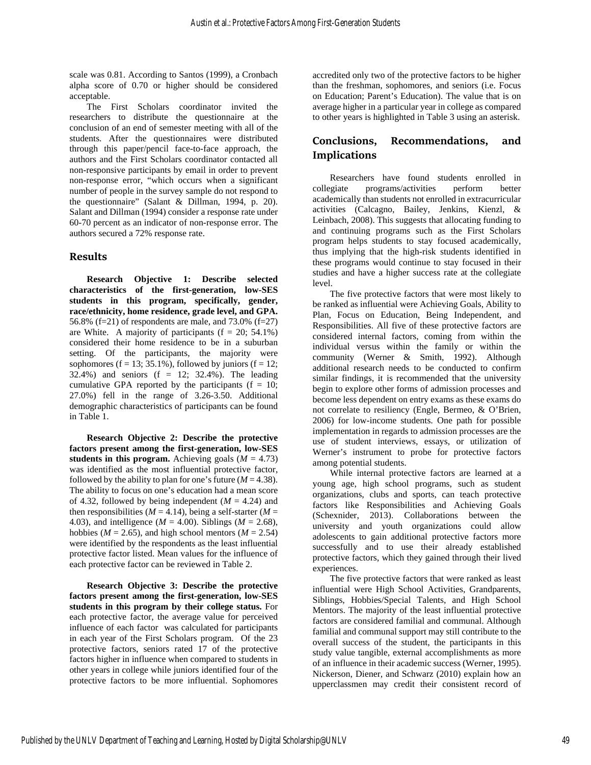scale was 0.81. According to Santos (1999), a Cronbach alpha score of 0.70 or higher should be considered acceptable.

The First Scholars coordinator invited the researchers to distribute the questionnaire at the conclusion of an end of semester meeting with all of the students. After the questionnaires were distributed through this paper/pencil face-to-face approach, the authors and the First Scholars coordinator contacted all non-responsive participants by email in order to prevent non-response error, "which occurs when a significant number of people in the survey sample do not respond to the questionnaire" (Salant & Dillman, 1994, p. 20). Salant and Dillman (1994) consider a response rate under 60-70 percent as an indicator of non-response error. The authors secured a 72% response rate.

# **Results**

**Research Objective 1: Describe selected characteristics of the first-generation, low-SES students in this program, specifically, gender, race/ethnicity, home residence, grade level, and GPA.** 56.8% (f=21) of respondents are male, and 73.0% (f=27) are White. A majority of participants  $(f = 20; 54.1\%)$ considered their home residence to be in a suburban setting. Of the participants, the majority were sophomores (f = 13; 35.1%), followed by juniors (f = 12; 32.4%) and seniors (f = 12; 32.4%). The leading cumulative GPA reported by the participants ( $f = 10$ ; 27.0%) fell in the range of 3.26-3.50. Additional demographic characteristics of participants can be found in Table 1.

**Research Objective 2: Describe the protective factors present among the first-generation, low-SES students in this program.** Achieving goals ( $M = 4.73$ ) was identified as the most influential protective factor, followed by the ability to plan for one's future  $(M = 4.38)$ . The ability to focus on one's education had a mean score of 4.32, followed by being independent  $(M = 4.24)$  and then responsibilities ( $M = 4.14$ ), being a self-starter ( $M =$ 4.03), and intelligence ( $M = 4.00$ ). Siblings ( $M = 2.68$ ), hobbies ( $M = 2.65$ ), and high school mentors ( $M = 2.54$ ) were identified by the respondents as the least influential protective factor listed. Mean values for the influence of each protective factor can be reviewed in Table 2.

**Research Objective 3: Describe the protective factors present among the first-generation, low-SES students in this program by their college status.** For each protective factor, the average value for perceived influence of each factor was calculated for participants in each year of the First Scholars program. Of the 23 protective factors, seniors rated 17 of the protective factors higher in influence when compared to students in other years in college while juniors identified four of the protective factors to be more influential. Sophomores

accredited only two of the protective factors to be higher than the freshman, sophomores, and seniors (i.e. Focus on Education; Parent's Education). The value that is on average higher in a particular year in college as compared to other years is highlighted in Table 3 using an asterisk.

# **Conclusions, Recommendations, and Implications**

Researchers have found students enrolled in collegiate programs/activities perform better academically than students not enrolled in extracurricular activities (Calcagno, Bailey, Jenkins, Kienzl, & Leinbach, 2008). This suggests that allocating funding to and continuing programs such as the First Scholars program helps students to stay focused academically, thus implying that the high-risk students identified in these programs would continue to stay focused in their studies and have a higher success rate at the collegiate level.

The five protective factors that were most likely to be ranked as influential were Achieving Goals, Ability to Plan, Focus on Education, Being Independent, and Responsibilities. All five of these protective factors are considered internal factors, coming from within the individual versus within the family or within the community (Werner & Smith, 1992). Although additional research needs to be conducted to confirm similar findings, it is recommended that the university begin to explore other forms of admission processes and become less dependent on entry exams as these exams do not correlate to resiliency (Engle, Bermeo, & O'Brien, 2006) for low-income students. One path for possible implementation in regards to admission processes are the use of student interviews, essays, or utilization of Werner's instrument to probe for protective factors among potential students.

While internal protective factors are learned at a young age, high school programs, such as student organizations, clubs and sports, can teach protective factors like Responsibilities and Achieving Goals (Schexnider, 2013). Collaborations between the university and youth organizations could allow adolescents to gain additional protective factors more successfully and to use their already established protective factors, which they gained through their lived experiences.

The five protective factors that were ranked as least influential were High School Activities, Grandparents, Siblings, Hobbies/Special Talents, and High School Mentors. The majority of the least influential protective factors are considered familial and communal. Although familial and communal support may still contribute to the overall success of the student, the participants in this study value tangible, external accomplishments as more of an influence in their academic success (Werner, 1995). Nickerson, Diener, and Schwarz (2010) explain how an upperclassmen may credit their consistent record of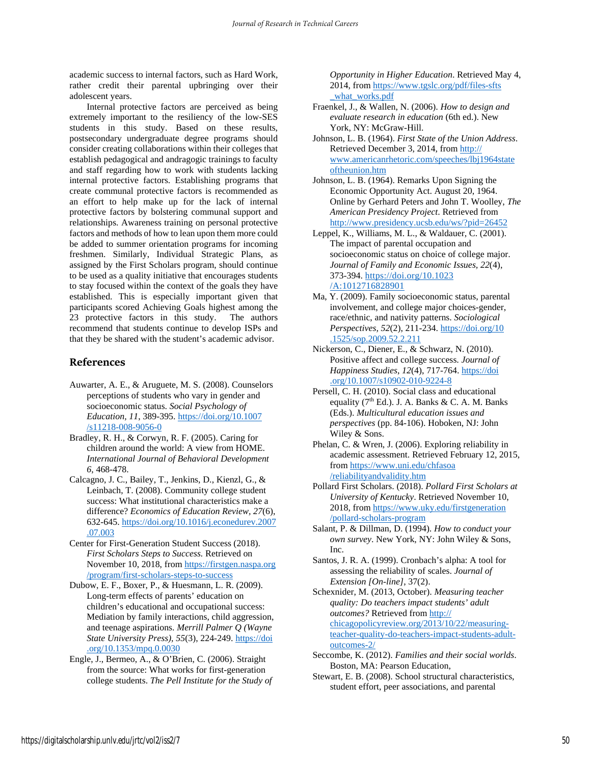academic success to internal factors, such as Hard Work, rather credit their parental upbringing over their adolescent years.

Internal protective factors are perceived as being extremely important to the resiliency of the low-SES students in this study. Based on these results, postsecondary undergraduate degree programs should consider creating collaborations within their colleges that establish pedagogical and andragogic trainings to faculty and staff regarding how to work with students lacking internal protective factors. Establishing programs that create communal protective factors is recommended as an effort to help make up for the lack of internal protective factors by bolstering communal support and relationships. Awareness training on personal protective factors and methods of how to lean upon them more could be added to summer orientation programs for incoming freshmen. Similarly, Individual Strategic Plans, as assigned by the First Scholars program, should continue to be used as a quality initiative that encourages students to stay focused within the context of the goals they have established. This is especially important given that participants scored Achieving Goals highest among the 23 protective factors in this study. The authors recommend that students continue to develop ISPs and that they be shared with the student's academic advisor.

#### **References**

- Auwarter, A. E., & Aruguete, M. S. (2008). Counselors perceptions of students who vary in gender and socioeconomic status. *Social Psychology of Education, 11*, 389-395[. https://doi.org/10.1007](https://doi.org/10.1007%E2%80%8C/s11218%E2%80%8C-008-9056-0) [/s11218-008-9056-0](https://doi.org/10.1007%E2%80%8C/s11218%E2%80%8C-008-9056-0)
- Bradley, R. H., & Corwyn, R. F. (2005). Caring for children around the world: A view from HOME. *International Journal of Behavioral Development 6*, 468-478.
- Calcagno, J. C., Bailey, T., Jenkins, D., Kienzl, G., & Leinbach, T. (2008). Community college student success: What institutional characteristics make a difference? *Economics of Education Review, 27*(6), 632-645. [https://doi.org/10.1016/j.econedurev.2007](https://doi.org/10.1016/j.econedurev%E2%80%8C.2007%E2%80%8C.07.003) [.07.003](https://doi.org/10.1016/j.econedurev%E2%80%8C.2007%E2%80%8C.07.003)
- Center for First-Generation Student Success (2018). *First Scholars Steps to Success.* Retrieved on November 10, 2018, from [https://firstgen.naspa.org](https://firstgen.naspa.org/program%E2%80%8C/first-scholars-steps-to-success) [/program/first-scholars-steps-to-success](https://firstgen.naspa.org/program%E2%80%8C/first-scholars-steps-to-success)
- Dubow, E. F., Boxer, P., & Huesmann, L. R. (2009). Long-term effects of parents' education on children's educational and occupational success: Mediation by family interactions, child aggression, and teenage aspirations. *Merrill Palmer Q (Wayne State University Press), 55*(3), 224-249. [https://doi](https://doi.org/10.1353/mpq.0.0030) [.org/10.1353/mpq.0.0030](https://doi.org/10.1353/mpq.0.0030)
- Engle, J., Bermeo, A., & O'Brien, C. (2006). Straight from the source: What works for first-generation college students. *The Pell Institute for the Study of*

*Opportunity in Higher Education*. Retrieved May 4, 2014, fro[m https://www.tgslc.org/pdf/files-sfts](https://www.tgslc.org/pdf/files-sfts%E2%80%8C_what%E2%80%8C_works.pdf) what\_works.pdf

- Fraenkel, J., & Wallen, N. (2006). *How to design and evaluate research in education* (6th ed.). New York, NY: McGraw-Hill.
- Johnson, L. B. (1964). *First State of the Union Address*. Retrieved December 3, 2014, from [http://](http://www.americanrhetoric.com/speeches/lbj1964state%E2%80%8Coftheunion.htm) [www.americanrhetoric.com/speeches/lbj1964state](http://www.americanrhetoric.com/speeches/lbj1964state%E2%80%8Coftheunion.htm) [oftheunion.htm](http://www.americanrhetoric.com/speeches/lbj1964state%E2%80%8Coftheunion.htm)
- Johnson, L. B. (1964). Remarks Upon Signing the Economic Opportunity Act. August 20, 1964. Online by Gerhard Peters and John T. Woolley, *The American Presidency Project*. Retrieved from <http://www.presidency.ucsb.edu/ws/?pid=26452>
- Leppel, K., Williams, M. L., & Waldauer, C. (2001). The impact of parental occupation and socioeconomic status on choice of college major. *Journal of Family and Economic Issues, 22*(4), 373-394. [https://doi.org/10.1023](https://doi.org/10.1023%E2%80%8C/A:1012716828901) [/A:1012716828901](https://doi.org/10.1023%E2%80%8C/A:1012716828901)
- Ma, Y. (2009). Family socioeconomic status, parental involvement, and college major choices-gender, race/ethnic, and nativity patterns. *Sociological Perspectives, 52*(2), 211-234[. https://doi.org/10](https://doi.org/10%E2%80%8C.1525%E2%80%8C/sop.2009.52.2.211) [.1525/sop.2009.52.2.211](https://doi.org/10%E2%80%8C.1525%E2%80%8C/sop.2009.52.2.211)
- Nickerson, C., Diener, E., & Schwarz, N. (2010). Positive affect and college success. *Journal of Happiness Studies*, *12*(4), 717-764[. https://doi](https://doi.org/10.1007/s10902-010-9224-8) [.org/10.1007/s10902-010-9224-8](https://doi.org/10.1007/s10902-010-9224-8)
- Persell, C. H. (2010). Social class and educational equality ( $7<sup>th</sup>$  Ed.). J. A. Banks & C. A. M. Banks (Eds.). *Multicultural education issues and perspectives* (pp. 84-106). Hoboken, NJ: John Wiley & Sons.
- Phelan, C. & Wren, J. (2006). Exploring reliability in academic assessment. Retrieved February 12, 2015, from [https://www.uni.edu/chfasoa](https://www.uni.edu/chfasoa%E2%80%8C/reliabilityandvalidity%E2%80%8C.htm) [/reliabilityandvalidity.htm](https://www.uni.edu/chfasoa%E2%80%8C/reliabilityandvalidity%E2%80%8C.htm)
- Pollard First Scholars. (2018). *Pollard First Scholars at University of Kentucky*. Retrieved November 10, 2018, fro[m https://www.uky.edu/firstgeneration](https://www.uky.edu/firstgeneration%E2%80%8C/pollard-scholars-program) [/pollard-scholars-program](https://www.uky.edu/firstgeneration%E2%80%8C/pollard-scholars-program)
- Salant, P. & Dillman, D. (1994). *How to conduct your own survey*. New York, NY: John Wiley & Sons, Inc.
- Santos, J. R. A. (1999). Cronbach's alpha: A tool for assessing the reliability of scales. *Journal of Extension [On-line]*, 37(2).
- Schexnider, M. (2013, October). *Measuring teacher quality: Do teachers impact students' adult outcomes?* Retrieved from [http://](http://chicagopolicyreview.org/2013%E2%80%8C/10/22/measuring-teacher-quality-do-teachers-impact-students-adult-outcomes-2/) [chicagopolicyreview.org/2013/10/22/measuring](http://chicagopolicyreview.org/2013%E2%80%8C/10/22/measuring-teacher-quality-do-teachers-impact-students-adult-outcomes-2/)[teacher-quality-do-teachers-impact-students-adult](http://chicagopolicyreview.org/2013%E2%80%8C/10/22/measuring-teacher-quality-do-teachers-impact-students-adult-outcomes-2/)[outcomes-2/](http://chicagopolicyreview.org/2013%E2%80%8C/10/22/measuring-teacher-quality-do-teachers-impact-students-adult-outcomes-2/)
- Seccombe, K. (2012). *Families and their social worlds*. Boston, MA: Pearson Education,
- Stewart, E. B. (2008). School structural characteristics, student effort, peer associations, and parental